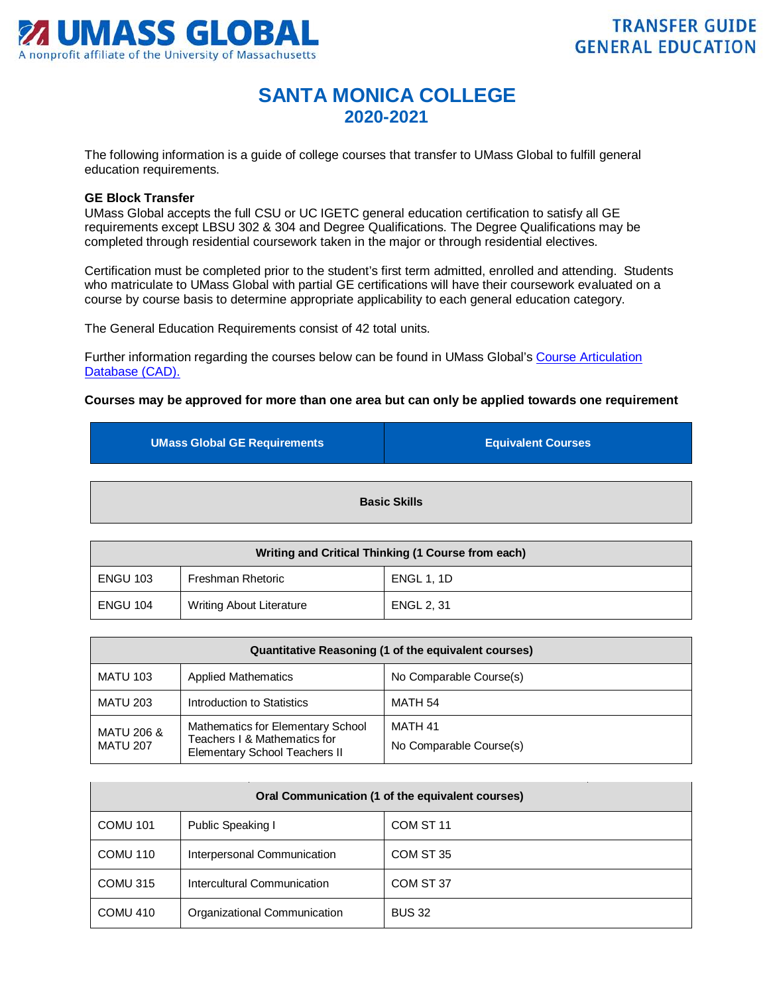

## **SANTA MONICA COLLEGE 2020-2021**

The following information is a guide of college courses that transfer to UMass Global to fulfill general education requirements.

## **GE Block Transfer**

UMass Global accepts the full CSU or UC IGETC general education certification to satisfy all GE requirements except LBSU 302 & 304 and Degree Qualifications. The Degree Qualifications may be completed through residential coursework taken in the major or through residential electives.

Certification must be completed prior to the student's first term admitted, enrolled and attending. Students who matriculate to UMass Global with partial GE certifications will have their coursework evaluated on a course by course basis to determine appropriate applicability to each general education category.

The General Education Requirements consist of 42 total units.

Further information regarding the courses below can be found in UMass Global's [Course Articulation](http://services.umassglobal.edu/studentservices/TransferCredit/)  [Database \(CAD\).](http://services.umassglobal.edu/studentservices/TransferCredit/) 

## **Courses may be approved for more than one area but can only be applied towards one requirement**

| UMass Global GE Requirements | <b>Equivalent Courses</b> |  |
|------------------------------|---------------------------|--|
| <b>Basic Skills</b>          |                           |  |

| Writing and Critical Thinking (1 Course from each) |                                 |                   |
|----------------------------------------------------|---------------------------------|-------------------|
| <b>ENGU 103</b>                                    | Freshman Rhetoric               | <b>ENGL 1, 1D</b> |
| <b>ENGU 104</b>                                    | <b>Writing About Literature</b> | <b>ENGL 2.31</b>  |

| Quantitative Reasoning (1 of the equivalent courses) |                                                                                                           |                                    |
|------------------------------------------------------|-----------------------------------------------------------------------------------------------------------|------------------------------------|
| <b>MATU 103</b>                                      | <b>Applied Mathematics</b>                                                                                | No Comparable Course(s)            |
| <b>MATU 203</b>                                      | Introduction to Statistics                                                                                | MATH 54                            |
| <b>MATU 206 &amp;</b><br><b>MATU 207</b>             | Mathematics for Elementary School<br>Teachers I & Mathematics for<br><b>Elementary School Teachers II</b> | MATH 41<br>No Comparable Course(s) |

| Oral Communication (1 of the equivalent courses) |                              |                      |
|--------------------------------------------------|------------------------------|----------------------|
| <b>COMU 101</b>                                  | Public Speaking I            | COM ST <sub>11</sub> |
| COMU 110                                         | Interpersonal Communication  | COM ST 35            |
| COMU 315                                         | Intercultural Communication  | COM ST 37            |
| COMU 410                                         | Organizational Communication | <b>BUS 32</b>        |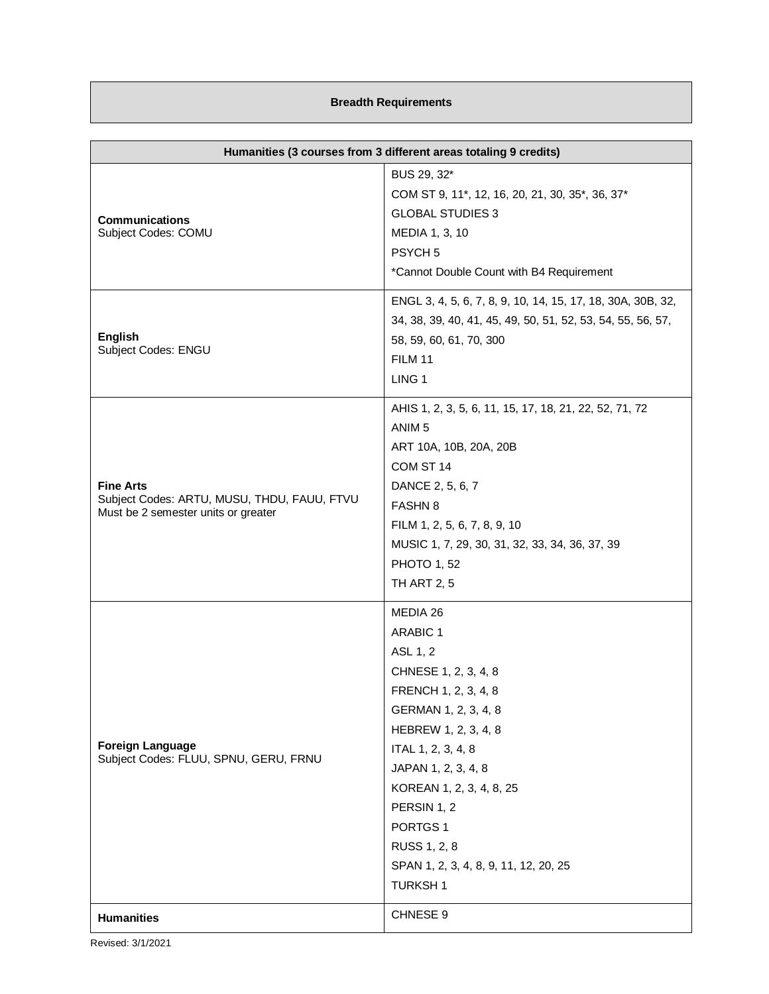## **Breadth Requirements**

| Humanities (3 courses from 3 different areas totaling 9 credits)                                       |                                                                                                                                                                                                                                                                                                                                   |
|--------------------------------------------------------------------------------------------------------|-----------------------------------------------------------------------------------------------------------------------------------------------------------------------------------------------------------------------------------------------------------------------------------------------------------------------------------|
| <b>Communications</b><br>Subject Codes: COMU                                                           | BUS 29, 32*<br>COM ST 9, 11*, 12, 16, 20, 21, 30, 35*, 36, 37*<br><b>GLOBAL STUDIES 3</b><br>MEDIA 1, 3, 10<br>PSYCH <sub>5</sub><br>*Cannot Double Count with B4 Requirement                                                                                                                                                     |
| <b>English</b><br>Subject Codes: ENGU                                                                  | ENGL 3, 4, 5, 6, 7, 8, 9, 10, 14, 15, 17, 18, 30A, 30B, 32,<br>34, 38, 39, 40, 41, 45, 49, 50, 51, 52, 53, 54, 55, 56, 57,<br>58, 59, 60, 61, 70, 300<br><b>FILM 11</b><br>LING <sub>1</sub>                                                                                                                                      |
| <b>Fine Arts</b><br>Subject Codes: ARTU, MUSU, THDU, FAUU, FTVU<br>Must be 2 semester units or greater | AHIS 1, 2, 3, 5, 6, 11, 15, 17, 18, 21, 22, 52, 71, 72<br>ANIM <sub>5</sub><br>ART 10A, 10B, 20A, 20B<br>COM ST 14<br>DANCE 2, 5, 6, 7<br><b>FASHN 8</b><br>FILM 1, 2, 5, 6, 7, 8, 9, 10<br>MUSIC 1, 7, 29, 30, 31, 32, 33, 34, 36, 37, 39<br><b>PHOTO 1, 52</b><br><b>TH ART 2, 5</b>                                            |
| <b>Foreign Language</b><br>Subject Codes: FLUU, SPNU, GERU, FRNU                                       | MEDIA 26<br><b>ARABIC 1</b><br>ASL 1, 2<br>CHNESE 1, 2, 3, 4, 8<br>FRENCH 1, 2, 3, 4, 8<br>GERMAN 1, 2, 3, 4, 8<br>HEBREW 1, 2, 3, 4, 8<br>ITAL 1, 2, 3, 4, 8<br>JAPAN 1, 2, 3, 4, 8<br>KOREAN 1, 2, 3, 4, 8, 25<br>PERSIN 1, 2<br>PORTGS <sub>1</sub><br>RUSS 1, 2, 8<br>SPAN 1, 2, 3, 4, 8, 9, 11, 12, 20, 25<br><b>TURKSH1</b> |
| <b>Humanities</b>                                                                                      | CHNESE 9                                                                                                                                                                                                                                                                                                                          |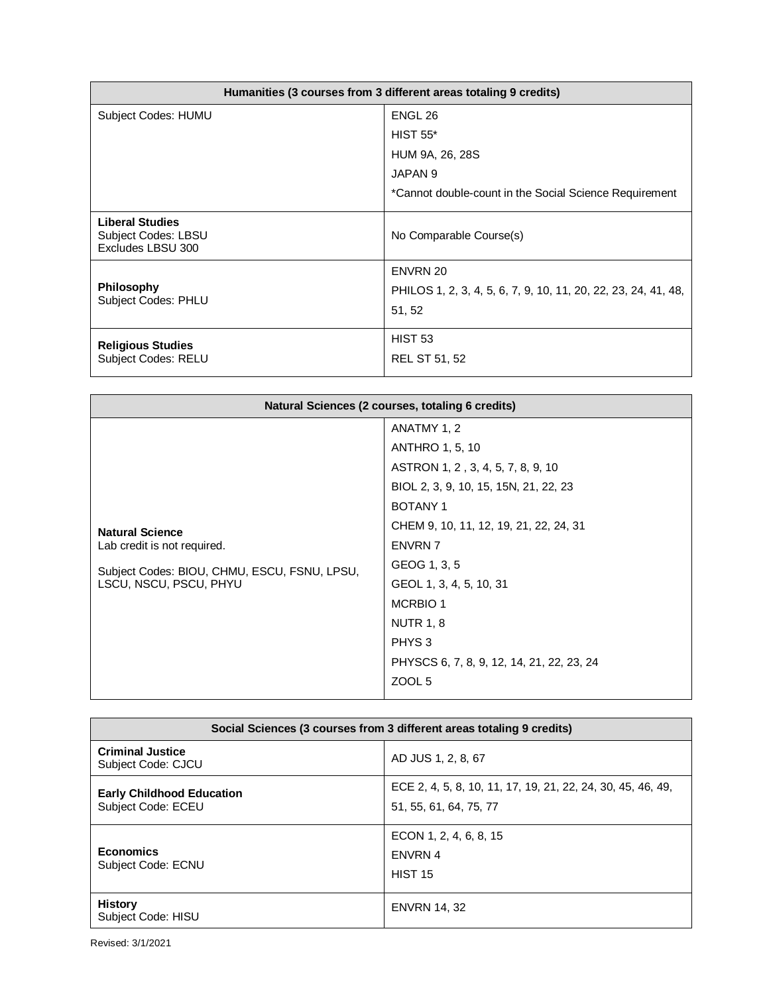| Humanities (3 courses from 3 different areas totaling 9 credits)   |                                                                |  |
|--------------------------------------------------------------------|----------------------------------------------------------------|--|
| Subject Codes: HUMU                                                | ENGL 26                                                        |  |
|                                                                    | <b>HIST 55*</b>                                                |  |
|                                                                    | HUM 9A, 26, 28S                                                |  |
|                                                                    | JAPAN <sub>9</sub>                                             |  |
|                                                                    | *Cannot double-count in the Social Science Requirement         |  |
| <b>Liberal Studies</b><br>Subject Codes: LBSU<br>Excludes LBSU 300 | No Comparable Course(s)                                        |  |
|                                                                    | ENVRN 20                                                       |  |
| <b>Philosophy</b><br><b>Subject Codes: PHLU</b>                    | PHILOS 1, 2, 3, 4, 5, 6, 7, 9, 10, 11, 20, 22, 23, 24, 41, 48, |  |
|                                                                    | 51, 52                                                         |  |
| <b>Religious Studies</b>                                           | <b>HIST 53</b>                                                 |  |
| <b>Subject Codes: RELU</b>                                         | <b>REL ST 51, 52</b>                                           |  |

| Natural Sciences (2 courses, totaling 6 credits)                                                                                |                                                                                                                                                                                         |
|---------------------------------------------------------------------------------------------------------------------------------|-----------------------------------------------------------------------------------------------------------------------------------------------------------------------------------------|
|                                                                                                                                 | ANATMY 1, 2<br><b>ANTHRO 1, 5, 10</b><br>ASTRON 1, 2, 3, 4, 5, 7, 8, 9, 10<br>BIOL 2, 3, 9, 10, 15, 15N, 21, 22, 23<br><b>BOTANY1</b><br>CHEM 9, 10, 11, 12, 19, 21, 22, 24, 31         |
| <b>Natural Science</b><br>Lab credit is not required.<br>Subject Codes: BIOU, CHMU, ESCU, FSNU, LPSU,<br>LSCU, NSCU, PSCU, PHYU | <b>ENVRN 7</b><br>GEOG 1, 3, 5<br>GEOL 1, 3, 4, 5, 10, 31<br><b>MCRBIO 1</b><br><b>NUTR 1, 8</b><br>PHYS <sub>3</sub><br>PHYSCS 6, 7, 8, 9, 12, 14, 21, 22, 23, 24<br>ZOOL <sub>5</sub> |

| Social Sciences (3 courses from 3 different areas totaling 9 credits) |                                                                                       |
|-----------------------------------------------------------------------|---------------------------------------------------------------------------------------|
| <b>Criminal Justice</b><br>Subject Code: CJCU                         | AD JUS 1, 2, 8, 67                                                                    |
| <b>Early Childhood Education</b><br>Subject Code: ECEU                | ECE 2, 4, 5, 8, 10, 11, 17, 19, 21, 22, 24, 30, 45, 46, 49,<br>51, 55, 61, 64, 75, 77 |
| <b>Economics</b><br><b>Subject Code: ECNU</b>                         | ECON 1, 2, 4, 6, 8, 15<br>ENVRN 4<br><b>HIST 15</b>                                   |
| <b>History</b><br>Subject Code: HISU                                  | <b>ENVRN 14, 32</b>                                                                   |